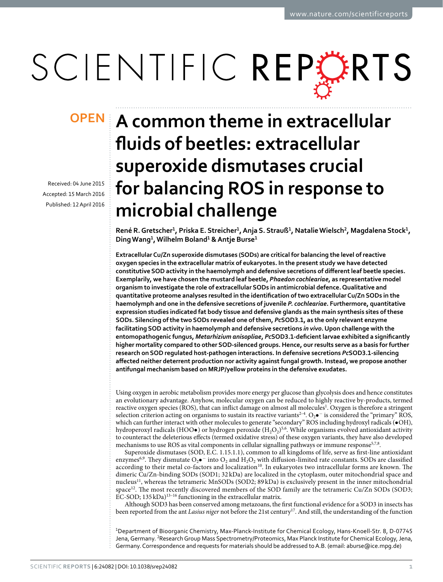# SCIENTIFIC REPERTS

Received: 04 June 2015 accepted: 15 March 2016 Published: 12 April 2016

## **A common theme in extracellular OPENfluids of beetles: extracellular superoxide dismutases crucial for balancing ROS in response to microbial challenge**

**René R.Gretscher1, Priska E. Streicher1, Anja S. Strauß1, NatalieWielsch2, Magdalena Stock1, DingWang1, Wilhelm Boland1 & Antje Burse1**

**Extracellular Cu/Zn superoxide dismutases (SODs) are critical for balancing the level of reactive oxygen species in the extracellular matrix of eukaryotes. In the present study we have detected constitutive SOD activity in the haemolymph and defensive secretions of different leaf beetle species. Exemplarily, we have chosen the mustard leaf beetle,** *Phaedon cochleariae***, as representative model organism to investigate the role of extracellular SODs in antimicrobial defence. Qualitative and quantitative proteome analyses resulted in the identification of two extracellular Cu/Zn SODs in the haemolymph and one in the defensive secretions of juvenile** *P. cochleariae***. Furthermore, quantitative expression studies indicated fat body tissue and defensive glands as the main synthesis sites of these SODs. Silencing of the two SODs revealed one of them,** *Pc***SOD3.1, as the only relevant enzyme facilitating SOD activity in haemolymph and defensive secretions** *in vivo***. Upon challenge with the entomopathogenic fungus,** *Metarhizium anisopliae***,** *Pc***SOD3.1-deficient larvae exhibited a significantly higher mortality compared to other SOD-silenced groups. Hence, our results serve as a basis for further research on SOD regulated host-pathogen interactions. In defensive secretions** *Pc***SOD3.1-silencing affected neither deterrent production nor activity against fungal growth. Instead, we propose another antifungal mechanism based on MRJP/yellow proteins in the defensive exudates.**

Using oxygen in aerobic metabolism provides more energy per glucose than glycolysis does and hence constitutes an evolutionary advantage. Anyhow, molecular oxygen can be reduced to highly reactive by-products, termed reactive oxygen species (ROS), that can inflict damage on almost all molecules<sup>[1](#page-10-0)</sup>. Oxygen is therefore a stringent selection criterion acting on organisms to sustain its reactive variants<sup>2–4</sup>. O<sub>2</sub>•<sup>−</sup> is considered the "primary" ROS, which can further interact with other molecules to generate "secondary" ROS including hydroxyl radicals ( $\bullet$ OH), hydroperoxyl radicals (HOO•) or hydrogen peroxide  $(H_2O_2)^{5,6}$  $(H_2O_2)^{5,6}$  $(H_2O_2)^{5,6}$ . While organisms evolved antioxidant activity to counteract the deleterious effects (termed oxidative stress) of these oxygen variants, they have also developed mechanisms to use ROS as vital components in cellular signalling pathways or immune response<sup>5[,7](#page-10-4)[,8](#page-10-5)</sup>.

Superoxide dismutases (SOD, E.C. 1.15.1.1), common to all kingdoms of life, serve as first-line antioxidant enzymes<sup>6,9</sup>. They dismutate O<sub>2</sub>•<sup>−</sup> into O<sub>2</sub> and H<sub>2</sub>O<sub>2</sub> with diffusion-limited rate constants. SODs are classified according to their metal co-factors and localization<sup>10</sup>. In eukaryotes two intracellular forms are known. The dimeric Cu/Zn-binding SODs (SOD1; 32 kDa) are localized in the cytoplasm, outer mitochondrial space and nucleus[11](#page-10-8), whereas the tetrameric MnSODs (SOD2; 89 kDa) is exclusively present in the inner mitochondrial space<sup>12</sup>. The most recently discovered members of the SOD family are the tetrameric Cu/Zn SODs (SOD3; EC-SOD; 135 kDa)<sup>13-16</sup> functioning in the extracellular matrix.

Although SOD3 has been conserved among metazoans, the first functional evidence for a SOD3 in insects has been reported from the ant *Lasius niger* not before the 21st centur[y17.](#page-10-11) And still, the understanding of the function

1Department of Bioorganic Chemistry, Max-Planck-Institute for Chemical Ecology, Hans-Knoell-Str. 8, D-07745 Jena, Germany. <sup>2</sup>Research Group Mass Spectrometry/Proteomics, Max Planck Institute for Chemical Ecology, Jena, Germany. Correspondence and requests for materials should be addressed to A.B. (email: [aburse@ice.mpg.de](mailto:aburse@ice.mpg.de))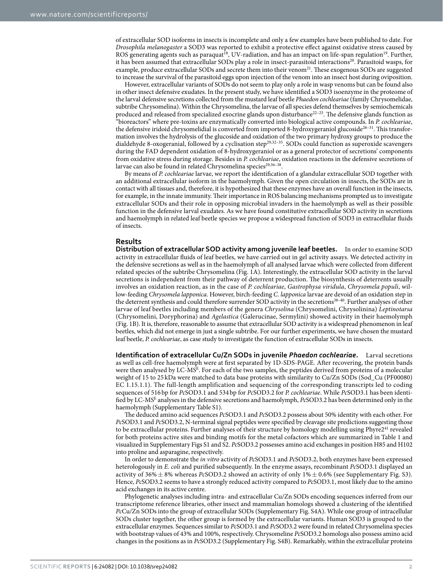of extracellular SOD isoforms in insects is incomplete and only a few examples have been published to date. For *Drosophila melanogaster* a SOD3 was reported to exhibit a protective effect against oxidative stress caused by ROS generating agents such as paraquat<sup>18</sup>, UV-radiation, and has an impact on life-span regulation<sup>19</sup>. Further, it has been assumed that extracellular SODs play a role in insect-parasitoid interactions<sup>20</sup>. Parasitoid wasps, for example, produce extracellular SODs and secrete them into their venom<sup>21</sup>. These exogenous SODs are suggested to increase the survival of the parasitoid eggs upon injection of the venom into an insect host during oviposition.

However, extracellular variants of SODs do not seem to play only a role in wasp venoms but can be found also in other insect defensive exudates. In the present study, we have identified a SOD3 isoenzyme in the proteome of the larval defensive secretions collected from the mustard leaf beetle *Phaedon cochleariae* (family Chrysomelidae, subtribe Chrysomelina). Within the Chrysomelina, the larvae of all species defend themselves by semiochemicals produced and released from specialized exocrine glands upon disturbance<sup>22-25</sup>. The defensive glands function as "bioreactors" where pre-toxins are enzymatically converted into biological active compounds. In *P. cochleariae*, the defensive iridoid chrysomelidial is converted from imported 8-hydroxygeraniol glucoside<sup>26-31</sup>. This transformation involves the hydrolysis of the glucoside and oxidation of the two primary hydroxy groups to produce the dialdehyde 8-oxogeranial, followed by a cyclisation step[29](#page-10-18),[32–35](#page-10-19). SODs could function as superoxide scavengers during the FAD dependent oxidation of 8-hydroxygeraniol or as a general protector of secretions' components from oxidative stress during storage. Besides in *P. cochleariae*, oxidation reactions in the defensive secretions of larvae can also be found in related Chrysomelina species<sup>[29,](#page-10-18)36-38</sup>.

By means of *P. cochleariae* larvae, we report the identification of a glandular extracellular SOD together with an additional extracellular isoform in the haemolymph. Given the open circulation in insects, the SODs are in contact with all tissues and, therefore, it is hypothesized that these enzymes have an overall function in the insects, for example, in the innate immunity. Their importance in ROS balancing mechanisms prompted us to investigate extracellular SODs and their role in opposing microbial invaders in the haemolymph as well as their possible function in the defensive larval exudates. As we have found constitutive extracellular SOD activity in secretions and haemolymph in related leaf beetle species we propose a widespread function of SOD3 in extracellular fluids of insects.

#### **Results**

**Distribution of extracellular SOD activity among juvenile leaf beetles.** In order to examine SOD activity in extracellular fluids of leaf beetles, we have carried out in gel activity assays. We detected activity in the defensive secretions as well as in the haemolymph of all analysed larvae which were collected from different related species of the subtribe Chrysomelina ([Fig. 1A\)](#page-2-0). Interestingly, the extracellular SOD activity in the larval secretions is independent from their pathway of deterrent production. The biosynthesis of deterrents usually involves an oxidation reaction, as in the case of *P. cochleariae*, *Gastrophysa viridula*, *Chrysomela populi*, willow-feeding *Chrysomela lapponica.* However, birch-feeding *C. lapponica* larvae are devoid of an oxidation step in the deterrent synthesis and could therefore surrender SOD activity in the secretions<sup>38-40</sup>. Further analyses of other larvae of leaf beetles including members of the genera *Chrysolina* (Chrysomelini, Chrysolinina) *Leptinotarsa* (Chrysomelini, Doryphorina) and *Agelastica* (Galerucinae, Sermylini) showed activity in their haemolymph ([Fig. 1B](#page-2-0)). It is, therefore, reasonable to assume that extracellular SOD activity is a widespread phenomenon in leaf beetles, which did not emerge in just a single subtribe. For our further experiments, we have chosen the mustard leaf beetle, *P. cochleariae*, as case study to investigate the function of extracellular SODs in insects.

**Identification of extracellular Cu/Zn SODs in juvenile** *Phaedon cochleariae***.** Larval secretions as well as cell-free haemolymph were at first separated by 1D-SDS-PAGE. After recovering, the protein bands were then analysed by LC-MSE. For each of the two samples, the peptides derived from proteins of a molecular weight of 15 to 25 kDa were matched to data base proteins with similarity to Cu/Zn SODs (Sod\_Cu (PF00080) EC 1.15.1.1). The full-length amplification and sequencing of the corresponding transcripts led to coding sequences of 516bp for *Pc*SOD3.1 and 534bp for *Pc*SOD3.2 for *P. cochleariae*. While *Pc*SOD3.1 has been identified by LC-MSE analyses in the defensive secretions and haemolymph, *Pc*SOD3.2 has been determined only in the haemolymph (Supplementary Table S1).

The deduced amino acid sequences *Pc*SOD3.1 and *Pc*SOD3.2 possess about 50% identity with each other. For *Pc*SOD3.1 and *Pc*SOD3.2, N-terminal signal peptides were specified by cleavage site predictions suggesting those to be extracellular proteins. Further analyses of their structure by homology modelling using Phyre2<sup>[41](#page-11-2)</sup> revealed for both proteins active sites and binding motifs for the metal cofactors which are summarized in [Table 1](#page-2-1) and visualized in Supplementary Figs S1 and S2. *Pc*SOD3.2 possesses amino acid exchanges in position H85 and H102 into proline and asparagine, respectively.

In order to demonstrate the *in vitro* activity of *Pc*SOD3.1 and *Pc*SOD3.2, both enzymes have been expressed heterologously in *E. coli* and purified subsequently. In the enzyme assays, recombinant *Pc*SOD3.1 displayed an activity of  $36\% \pm 8\%$  whereas *PcSOD3.2* showed an activity of only  $1\% \pm 0.6\%$  (see Supplementary Fig. S3). Hence, *Pc*SOD3.2 seems to have a strongly reduced activity compared to *Pc*SOD3.1, most likely due to the amino acid exchanges in its active centre.

Phylogenetic analyses including intra- and extracellular Cu/Zn SODs encoding sequences inferred from our transcriptome reference libraries, other insect and mammalian homologs showed a clustering of the identified *Pc*Cu/Zn SODs into the group of extracellular SODs (Supplementary Fig. S4A). While one group of intracellular SODs cluster together, the other group is formed by the extracellular variants. Human SOD3 is grouped to the extracellular enzymes. Sequences similar to *Pc*SOD3.1 and *Pc*SOD3.2 were found in related Chrysomelina species with bootstrap values of 43% and 100%, respectively. Chrysomeline *Pc*SOD3.2 homologs also possess amino acid changes in the positions as in *Pc*SOD3.2 (Supplementary Fig. S4B). Remarkably, within the extracellular proteins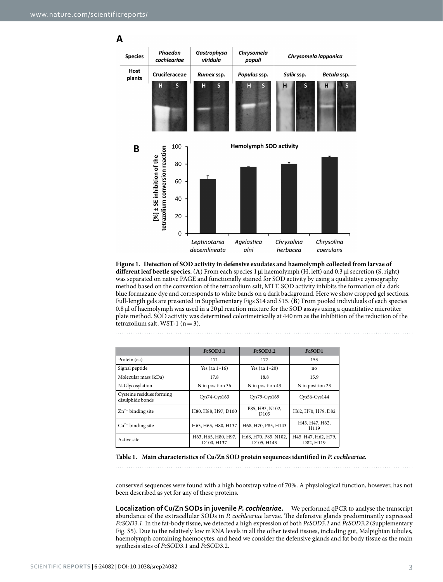A



<span id="page-2-0"></span>**Figure 1. Detection of SOD activity in defensive exudates and haemolymph collected from larvae of different leaf beetle species.** (**A**) From each species 1μl haemolymph (H, left) and 0.3μl secretion (S, right) was separated on native PAGE and functionally stained for SOD activity by using a qualitative zymography method based on the conversion of the tetrazolium salt, MTT. SOD activity inhibits the formation of a dark blue formazane dye and corresponds to white bands on a dark background. Here we show cropped gel sections. Full-length gels are presented in Supplementary Figs S14 and S15. (**B**) From pooled individuals of each species 0.8μl of haemolymph was used in a 20μl reaction mixture for the SOD assays using a quantitative microtiter plate method. SOD activity was determined colorimetrically at 440nm as the inhibition of the reduction of the tetrazolium salt, WST-1 ( $n = 3$ ).

<span id="page-2-1"></span>

|                                               | PcSOD3.1                                                   | PcSOD3.2                                                    | PcSOD1                           |
|-----------------------------------------------|------------------------------------------------------------|-------------------------------------------------------------|----------------------------------|
| Protein (aa)                                  | 171                                                        | 177                                                         | 153                              |
| Signal peptide                                | Yes (aa $1-16$ )                                           | Yes (aa $1-20$ )                                            | no                               |
| Molecular mass (kDa)                          | 17.8                                                       | 18.8                                                        | 15.9                             |
| N-Glycosylation                               | N in position 36                                           | N in position 43                                            | N in position 23                 |
| Cysteine residues forming<br>disulphide bonds | $Cvs74-Cvs163$                                             | $Cys79-Cys169$                                              | $Cys56-Cys144$                   |
| $\rm Zn^{2+}$ binding site                    | H80, H88, H97, D100                                        | P85, H93, N102,<br>D <sub>105</sub>                         | H62, H70, H79, D82               |
| $Cu^{2+}$ binding site                        | H63, H65, H80, H137                                        | H68, H70, P85, H143                                         | H45, H47, H62,<br>H119           |
| Active site                                   | H63, H65, H80, H97,<br>D <sub>100</sub> , H <sub>137</sub> | H68, H70, P85, N102,<br>D <sub>105</sub> , H <sub>143</sub> | H45, H47, H62, H79,<br>D82, H119 |

#### **Table 1. Main characteristics of Cu/Zn SOD protein sequences identified in** *P. cochleariae***.**

conserved sequences were found with a high bootstrap value of 70%. A physiological function, however, has not been described as yet for any of these proteins.

**Localization of Cu/Zn SODs in juvenile** *P. cochleariae***.** We performed qPCR to analyse the transcript abundance of the extracellular SODs in *P. cochleariae* larvae. The defensive glands predominantly expressed *PcSOD3.1*. In the fat-body tissue, we detected a high expression of both *PcSOD3.1* and *PcSOD3.2* (Supplementary Fig. S5). Due to the relatively low mRNA levels in all the other tested tissues, including gut, Malpighian tubules, haemolymph containing haemocytes, and head we consider the defensive glands and fat body tissue as the main synthesis sites of *Pc*SOD3.1 and *Pc*SOD3.2.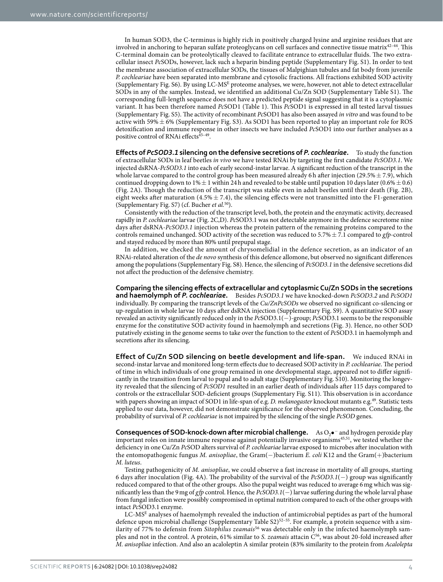In human SOD3, the C-terminus is highly rich in positively charged lysine and arginine residues that are involved in anchoring to heparan sulfate proteoglycans on cell surfaces and connective tissue matri[x42–44.](#page-11-3) This C-terminal domain can be proteolytically cleaved to facilitate entrance to extracellular fluids. The two extracellular insect *Pc*SODs, however, lack such a heparin binding peptide (Supplementary Fig. S1). In order to test the membrane association of extracellular SODs, the tissues of Malpighian tubules and fat body from juvenile *P. cochleariae* have been separated into membrane and cytosolic fractions. All fractions exhibited SOD activity (Supplementary Fig. S6). By using LC-MSE proteome analyses, we were, however, not able to detect extracellular SODs in any of the samples. Instead, we identified an additional Cu/Zn SOD (Supplementary Table S1). The corresponding full-length sequence does not have a predicted peptide signal suggesting that it is a cytoplasmic variant. It has been therefore named *Pc*SOD1 [\(Table 1\)](#page-2-1). This *Pc*SOD1 is expressed in all tested larval tissues (Supplementary Fig. S5). The activity of recombinant *Pc*SOD1 has also been assayed *in vitro* and was found to be active with 59%  $\pm$  6% (Supplementary Fig. S3). As SOD1 has been reported to play an important role for ROS detoxification and immune response in other insects we have included *Pc*SOD1 into our further analyses as a positive control of RNAi effects<sup>45-49</sup>.

**Effects of** *PcSOD3.1* **silencing on the defensive secretions of** *P. cochleariae***.** To study the function of extracellular SODs in leaf beetles *in vivo* we have tested RNAi by targeting the first candidate *PcSOD3.1*. We injected dsRNA*-PcSOD3.1* into each of early second-instar larvae. A significant reduction of the transcript in the whole larvae compared to the control group has been measured already 6 h after injection (29.5%  $\pm$  7.9), which continued dropping down to 1% $\pm$  1 within 24h and revealed to be stable until pupation 10 days later (0.6% $\pm$  0.6) ([Fig. 2A\)](#page-4-0). Though the reduction of the transcript was stable even in adult beetles until their death [\(Fig. 2B](#page-4-0)), eight weeks after maturation (4.5% $\pm$  7.4), the silencing effects were not transmitted into the F1-generation (Supplementary Fig. S7) (cf. Bucher *et al.*[50](#page-11-5)).

Consistently with the reduction of the transcript level, both, the protein and the enzymatic activity, decreased rapidly in *P. cochleariae* larvae ([Fig. 2C,D\)](#page-4-0). *Pc*SOD3.1 was not detectable anymore in the defence secretome nine days after dsRNA*-PcSOD3.1* injection whereas the protein pattern of the remaining proteins compared to the controls remained unchanged. SOD activity of the secretion was reduced to 5.7%± 7.1 compared to *gfp*-control and stayed reduced by more than 80% until prepupal stage.

In addition, we checked the amount of chrysomelidial in the defence secretion, as an indicator of an RNAi-related alteration of the *de novo* synthesis of this defence allomone, but observed no significant differences among the populations (Supplementary Fig. S8). Hence, the silencing of *PcSOD3.1* in the defensive secretions did not affect the production of the defensive chemistry.

**Comparing the silencing effects of extracellular and cytoplasmic Cu/Zn SODs in the secretions and haemolymph of** *P. cochleariae***.** Besides *PcSOD3.1* we have knocked-down *PcSOD3.2* and *PcSOD1* individually. By comparing the transcript levels of the *Cu/ZnPcSODs* we observed no significant co-silencing or up-regulation in whole larvae 10 days after dsRNA injection (Supplementary Fig. S9). A quantitative SOD assay revealed an activity significantly reduced only in the *Pc*SOD3.1(−)-group; *Pc*SOD3.1 seems to be the responsible enzyme for the constitutive SOD activity found in haemolymph and secretions [\(Fig. 3](#page-5-0)). Hence, no other SOD putatively existing in the genome seems to take over the function to the extent of *Pc*SOD3.1 in haemolymph and secretions after its silencing.

**Effect of Cu/Zn SOD silencing on beetle development and life-span.** We induced RNAi in second-instar larvae and monitored long-term effects due to decreased SOD activity in *P. cochleariae*. The period of time in which individuals of one group remained in one developmental stage, appeared not to differ significantly in the transition from larval to pupal and to adult stage (Supplementary Fig. S10). Monitoring the longevity revealed that the silencing of *PcSOD1* resulted in an earlier death of individuals after 115 days compared to controls or the extracellular SOD-deficient groups (Supplementary Fig. S11). This observation is in accordance with papers showing an impact of SOD1 in life-span of e.g. *D. melanogaster* knockout mutants e.g.[49.](#page-11-6) Statistic tests applied to our data, however, did not demonstrate significance for the observed phenomenon. Concluding, the probability of survival of *P. cochleariae* is not impaired by the silencing of the single *PcSOD* genes.

**Consequences of SOD-knock-down after microbial challenge.** As O<sub>2</sub>•<sup>−</sup> and hydrogen peroxide play important roles on innate immune response against potentially invasive organisms[45,](#page-11-4)[51,](#page-11-7) we tested whether the deficiency in one Cu/Zn *Pc*SOD alters survival of *P. cochleariae* larvae exposed to microbes after inoculation with the entomopathogenic fungus *M. anisopliae*, the Gram(−)bacterium *E. coli* K12 and the Gram(+)bacterium *M. luteus*.

Testing pathogenicity of *M. anisopliae*, we could observe a fast increase in mortality of all groups, starting 6 days after inoculation [\(Fig. 4A\)](#page-6-0). The probability of the survival of the *PcSOD3.1*(−) group was significantly reduced compared to that of the other groups. Also the pupal weight was reduced to average 6mg which was significantly less than the 9mg of *gfp* control. Hence, the *PcSOD3.1*(−) larvae suffering during the whole larval phase from fungal infection were possibly compromised in optimal nutrition compared to each of the other groups with intact *Pc*SOD3.1 enzyme.

LC-MSE analyses of haemolymph revealed the induction of antimicrobial peptides as part of the humoral defence upon microbial challenge (Supplementary Table S2[\)52–55.](#page-11-8) For example, a protein sequence with a similarity of 77% to defensin from *Sitophilus zeamais*[56](#page-11-9) was detectable only in the infected haemolymph samples and not in the control. A protein, 61% similar to *S. zeamais* attacin C<sup>56</sup>, was about 20-fold increased after *M. anisopliae* infection. And also an acaloleptin A similar protein (83% similarity to the protein from *Acalolepta*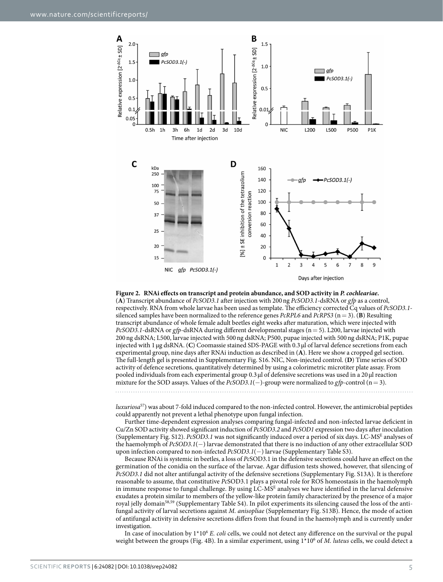

<span id="page-4-0"></span>**Figure 2. RNAi effects on transcript and protein abundance, and SOD activity in** *P. cochleariae***.**  (**A**) Transcript abundance of *PcSOD3.1* after injection with 200ng *PcSOD3.1*-dsRNA or *gfp* as a control, respectively. RNA from whole larvae has been used as template. The efficiency corrected Cq values of *PcSOD3.1* silenced samples have been normalized to the reference genes *PcRPL6* and *PcRPS3* (n= 3). (**B**) Resulting transcript abundance of whole female adult beetles eight weeks after maturation, which were injected with *PcSOD3.1*-dsRNA or *gfp*-dsRNA during different developmental stages (n= 5). L200, larvae injected with 200ng dsRNA; L500, larvae injected with 500ng dsRNA; P500, pupae injected with 500ng dsRNA; P1K, pupae injected with 1μg dsRNA. (**C**) Coomassie stained SDS-PAGE with 0.3μl of larval defence secretions from each experimental group, nine days after RNAi induction as described in (**A**). Here we show a cropped gel section. The full-length gel is presented in Supplementary Fig. S16. NIC, Non-injected control. (**D**) Time series of SOD activity of defence secretions, quantitatively determined by using a colorimetric microtiter plate assay. From pooled individuals from each experimental group 0.3μl of defensive secretions was used in a 20μl reaction mixture for the SOD assays. Values of the *PcSOD3.1*(−)-group were normalized to *gfp*-control (n= 3).

*luxuriosa*[57](#page-11-10)) was about 7-fold induced compared to the non-infected control. However, the antimicrobial peptides could apparently not prevent a lethal phenotype upon fungal infection.

Further time-dependent expression analyses comparing fungal-infected and non-infected larvae deficient in Cu/Zn SOD activity showed significant induction of *PcSOD3.2* and *PcSOD1* expression two days after inoculation (Supplementary Fig. S12). *PcSOD3.1* was not significantly induced over a period of six days. LC-MSE analyses of the haemolymph of *PcSOD3.1*(−) larvae demonstrated that there is no induction of any other extracellular SOD upon infection compared to non-infected *PcSOD3.1*(−) larvae (Supplementary Table S3).

Because RNAi is systemic in beetles, a loss of *Pc*SOD3.1 in the defensive secretions could have an effect on the germination of the conidia on the surface of the larvae. Agar diffusion tests showed, however, that silencing of *PcSOD3.1* did not alter antifungal activity of the defensive secretions (Supplementary Fig. S13A). It is therefore reasonable to assume, that constitutive *Pc*SOD3.1 plays a pivotal role for ROS homeostasis in the haemolymph in immune response to fungal challenge. By using LC-MS<sup>E</sup> analyses we have identified in the larval defensive exudates a protein similar to members of the yellow-like protein family characterized by the presence of a major royal jelly domain[58](#page-11-11),[59](#page-11-12) (Supplementary Table S4). In pilot experiments its silencing caused the loss of the antifungal activity of larval secretions against *M. anisopliae* (Supplementary Fig. S13B). Hence, the mode of action of antifungal activity in defensive secretions differs from that found in the haemolymph and is currently under investigation.

In case of inoculation by  $1*10<sup>6</sup>$  *E. coli* cells, we could not detect any difference on the survival or the pupal weight between the groups ([Fig. 4B\)](#page-6-0). In a similar experiment, using  $1*10^6$  of *M. luteus* cells, we could detect a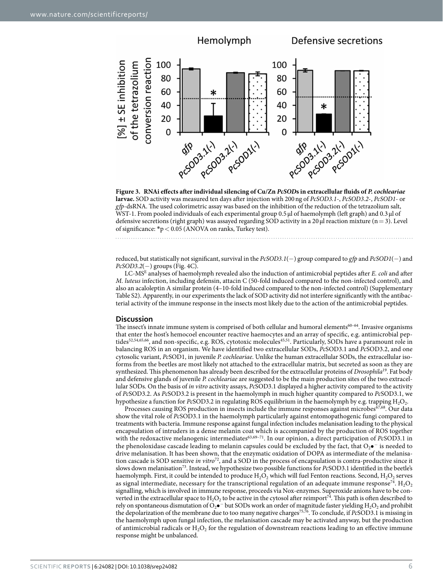

<span id="page-5-0"></span>**Figure 3. RNAi effects after individual silencing of Cu/Zn** *PcSOD***s in extracellular fluids of** *P. cochleariae* **larvae.** SOD activity was measured ten days after injection with 200ng of *PcSOD3.1*-, *PcSOD3.2*-, *PcSOD1*- or *gfp*-dsRNA. The used colorimetric assay was based on the inhibition of the reduction of the tetrazolium salt, WST-1. From pooled individuals of each experimental group 0.5μl of haemolymph (left graph) and 0.3μl of defensive secretions (right graph) was assayed regarding SOD activity in a 20  $\mu$ l reaction mixture (n = 3). Level of significance: \*p< 0.05 (ANOVA on ranks, Turkey test).

reduced, but statistically not significant, survival in the *PcSOD3.1*(−) group compared to *gfp* and *PcSOD1*(−) and *PcSOD3.2*(−) groups [\(Fig. 4C\)](#page-6-0).

LC-MSE analyses of haemolymph revealed also the induction of antimicrobial peptides after *E. coli* and after *M. luteus* infection, including defensin, attacin C (50-fold induced compared to the non-infected control), and also an acaloleptin A similar protein (4–10-fold induced compared to the non-infected control) (Supplementary Table S2). Apparently, in our experiments the lack of SOD activity did not interfere significantly with the antibacterial activity of the immune response in the insects most likely due to the action of the antimicrobial peptides.

#### **Discussion**

The insect's innate immune system is comprised of both cellular and humoral elements<sup>60–64</sup>. Invasive organisms that enter the host's hemocoel encounter reactive haemocytes and an array of specific, e.g. antimicrobial pep-tides<sup>52,[54](#page-11-14)[,65](#page-11-15)[,66](#page-11-16)</sup>, and non-specific, e.g. ROS, cytotoxic molecules<sup>[45,](#page-11-4)51</sup>. Particularly, SODs have a paramount role in balancing ROS in an organism. We have identified two extracellular SODs, *Pc*SOD3.1 and *Pc*SOD3.2, and one cytosolic variant, *Pc*SOD1, in juvenile *P. cochleariae*. Unlike the human extracellular SODs, the extracellular isoforms from the beetles are most likely not attached to the extracellular matrix, but secreted as soon as they are synthesized. This phenomenon has already been described for the extracellular proteins of *Drosophila*[19.](#page-10-13) Fat body and defensive glands of juvenile *P. cochleariae* are suggested to be the main production sites of the two extracellular SODs. On the basis of *in vitro* activity assays, *Pc*SOD3.1 displayed a higher activity compared to the activity of *Pc*SOD3.2. As *Pc*SOD3.2 is present in the haemolymph in much higher quantity compared to *Pc*SOD3.1, we hypothesize a function for *Pc*SOD3.2 in regulating ROS equilibrium in the haemolymph by e.g. trapping H<sub>2</sub>O<sub>2</sub>.

Processes causing ROS production in insects include the immune responses against microbes<sup>67[,68](#page-11-18)</sup>. Our data show the vital role of *Pc*SOD3.1 in the haemolymph particularly against entomopathogenic fungi compared to treatments with bacteria. Immune response against fungal infection includes melanisation leading to the physical encapsulation of intruders in a dense melanin coat which is accompanied by the production of ROS together with the redoxactive melanogenic intermediates<sup>[63,](#page-11-19)69-71</sup>. In our opinion, a direct participation of *PcSOD3.1* in the phenoloxidase cascade leading to melanin capsules could be excluded by the fact, that O2•− is needed to drive melanisation. It has been shown, that the enzymatic oxidation of DOPA as intermediate of the melanisation cascade is SOD sensitive *in vitro*[72](#page-11-21), and a SOD in the process of encapsulation is contra-productive since it slows down melanisation[73](#page-11-22). Instead, we hypothesize two possible functions for *Pc*SOD3.1 identified in the beetle's haemolymph. First, it could be intended to produce H<sub>2</sub>O<sub>2</sub> which will fuel Fenton reactions. Second, H<sub>2</sub>O<sub>2</sub> serves as signal intermediate, necessary for the transcriptional regulation of an adequate immune response<sup>74</sup>. H<sub>2</sub>O<sub>2</sub> signalling, which is involved in immune response, proceeds via Nox-enzymes. Superoxide anions have to be converted in the extracellular space to  $H_2O_2$  to be active in the cytosol after reimport<sup>[74](#page-11-23)</sup>. This path is often described to rely on spontaneous dismutation of O<sub>2</sub>•<sup>−</sup> but SODs work an order of magnitude faster yielding H<sub>2</sub>O<sub>2</sub> and prohibit the depolarization of the membrane due to too many negative charge[s75](#page-11-24)[,76.](#page-12-0) To conclude, if *Pc*SOD3.1 is missing in the haemolymph upon fungal infection, the melanisation cascade may be activated anyway, but the production of antimicrobial radicals or  $H_2O_2$  for the regulation of downstream reactions leading to an effective immune response might be unbalanced.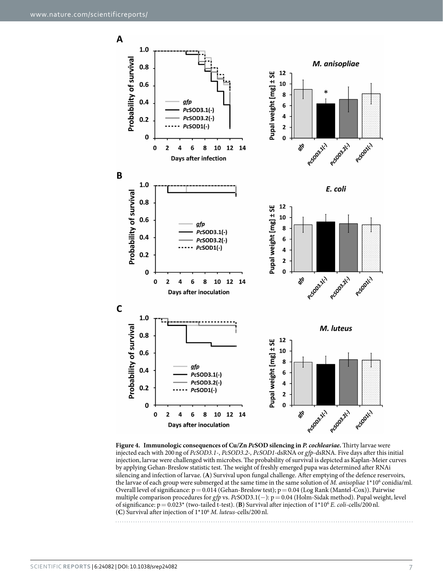

<span id="page-6-0"></span>**Figure 4. Immunologic consequences of Cu/Zn** *Pc***SOD silencing in** *P. cochleariae***.** Thirty larvae were injected each with 200ng of *PcSOD3.1*-, *PcSOD3.2-, PcSOD1-*dsRNA or *gfp*-dsRNA. Five days after this initial injection, larvae were challenged with microbes. The probability of survival is depicted as Kaplan-Meier curves by applying Gehan-Breslow statistic test. The weight of freshly emerged pupa was determined after RNAi silencing and infection of larvae. (**A**) Survival upon fungal challenge. After emptying of the defence reservoirs, the larvae of each group were submerged at the same time in the same solution of *M. anisopliae* 1\*10<sup>6</sup> conidia/ml. Overall level of significance:  $p = 0.014$  (Gehan-Breslow test);  $p = 0.04$  (Log Rank (Mantel-Cox)). Pairwise multiple comparison procedures for *gfp* vs. *Pc*SOD3.1(−): p= 0.04 (Holm-Sidak method). Pupal weight, level of significance: p= 0.023\* (two-tailed t-test). (**B**) Survival after injection of 1\*106 *E. coli*-cells/200nl. (**C**) Survival after injection of 1\*106 *M. luteus*-cells/200nl.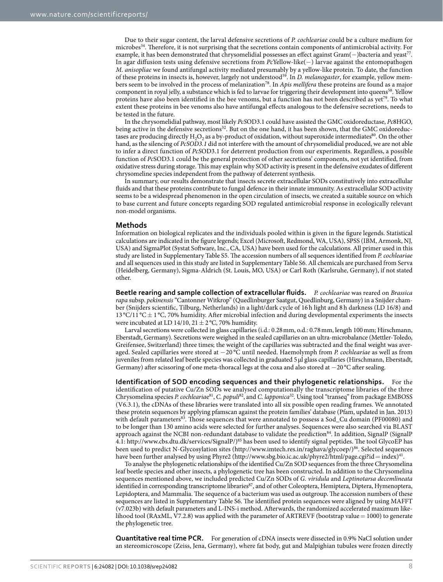Due to their sugar content, the larval defensive secretions of *P. cochleariae* could be a culture medium for microbe[s34.](#page-10-20) Therefore, it is not surprising that the secretions contain components of antimicrobial activity. For example, it has been demonstrated that chrysomelidial possesses an effect against Gram(-)bacteria and yeast<sup>77</sup>. In agar diffusion tests using defensive secretions from *Pc*Yellow-like(−) larvae against the entomopathogen *M. anisopliae* we found antifungal activity mediated presumably by a yellow-like protein. To date, the function of these proteins in insects is, however, largely not understood[59](#page-11-12). In *D. melanogaster*, for example, yellow members seem to be involved in the process of melanization[78](#page-12-2). In *Apis mellifera* these proteins are found as a major component in royal jelly, a substance which is fed to larvae for triggering their development into queens<sup>[58](#page-11-11)</sup>. Yellow proteins have also been identified in the bee venoms, but a function has not been described as  $vert^{79}$ . To what extent these proteins in bee venoms also have antifungal effects analogous to the defensive secretions, needs to be tested in the future.

In the chrysomelidial pathway, most likely *PcS*OD3.1 could have assisted the GMC oxidoreductase, *Pc*8HGO, being active in the defensive secretions<sup>32</sup>. But on the one hand, it has been shown, that the GMC oxidoreductases are producing directly  $H_2O_2$  as a by-product of oxidation, without superoxide intermediates<sup>[80](#page-12-4)</sup>. On the other hand, as the silencing of *PcSOD3.1* did not interfere with the amount of chrysomelidial produced, we are not able to infer a direct function of *PcS*OD3.1 for deterrent production from our experiments. Regardless, a possible function of *Pc*SOD3.1 could be the general protection of other secretions' components, not yet identified, from oxidative stress during storage. This may explain why SOD activity is present in the defensive exudates of different chrysomeline species independent from the pathway of deterrent synthesis.

In summary, our results demonstrate that insects secrete extracellular SODs constitutively into extracellular fluids and that these proteins contribute to fungal defence in their innate immunity. As extracellular SOD activity seems to be a widespread phenomenon in the open circulation of insects, we created a suitable source on which to base current and future concepts regarding SOD regulated antimicrobial response in ecologically relevant non-model organisms.

#### **Methods**

Information on biological replicates and the individuals pooled within is given in the figure legends. Statistical calculations are indicated in the figure legends; Excel (Microsoft, Redmond, WA, USA), SPSS (IBM, Armonk, NJ, USA) and SigmaPlot (Systat Software, Inc., CA, USA) have been used for the calculations. All primer used in this study are listed in Supplementary Table S5. The accession numbers of all sequences identified from *P. cochleariae* and all sequences used in this study are listed in Supplementary Table S6. All chemicals are purchased from Serva (Heidelberg, Germany), Sigma-Aldrich (St. Louis, MO, USA) or Carl Roth (Karlsruhe, Germany), if not stated other.

**Beetle rearing and sample collection of extracellular fluids.** *P. cochleariae* was reared on *Brassica rapa* subsp. *pekinensis* "Cantonner Witkrop" (Quedlinburger Saatgut, Quedlinburg, Germany) in a Snijder chamber (Snijders scientific, Tilburg, Netherlands) in a light/dark cycle of 16h light and 8 h darkness (LD 16/8) and 13 °C/11 °C  $\pm$  1 °C, 70% humidity. After microbial infection and during developmental experiments the insects were incubated at LD 14/10,  $21 \pm 2$  °C, 70% humidity.

Larval secretions were collected in glass capillaries (i.d.: 0.28mm, o.d.: 0.78mm, length 100mm; Hirschmann, Eberstadt, Germany). Secretions were weighed in the sealed capillaries on an ultra-microbalance (Mettler-Toledo, Greifensee, Switzerland) three times; the weight of the capillaries was subtracted and the final weight was averaged. Sealed capillaries were stored at −20 °C until needed. Haemolymph from *P. cochleariae* as well as from juveniles from related leaf beetle species was collected in graduated 5μl glass capillaries (Hirschmann, Eberstadt, Germany) after scissoring of one meta-thoracal legs at the coxa and also stored at −20 °C after sealing.

**Identification of SOD encoding sequences and their phylogenetic relationships.** For the identification of putative Cu/Zn SODs we analysed computationally the transcriptome libraries of the three Chrysomelina species *P. cochlearia*[e81,](#page-12-5) *C. populi*[82](#page-12-6), and *C. lapponica*[32.](#page-10-19) Using tool "transeq" from package EMBOSS (V6.3.1), the cDNAs of these libraries were translated into all six possible open reading frames. We annotated these protein sequences by applying pfamscan against the protein families' database (Pfam, updated in Jan. 2013) with default parameters<sup>83</sup>. Those sequences that were annotated to possess a Sod\_Cu domain (PF00080) and to be longer than 130 amino acids were selected for further analyses. Sequences were also searched via BLAST approach against the NCBI non-redundant database to validate the prediction<sup>84</sup>. In addition, SignalP (SignalP 4.1: <http://www.cbs.dtu.dk/services/SignalP/>[\)85](#page-12-9) has been used to identify signal peptides. The tool GlycoEP has been used to predict N-Glycosylation sites ([http://www.imtech.res.in/raghava/glycoep/\)](http://www.imtech.res.in/raghava/glycoep/)<sup>[86](#page-12-10)</sup>. Selected sequences have been further analysed by using Phyre2 [\(http://www.sbg.bio.ic.ac.uk/phyre2/html/page.cgi?id](http://www.sbg.bio.ic.ac.uk/phyre2/html/page.cgi?id=index) = index)<sup>41</sup>.

To analyse the phylogenetic relationships of the identified Cu/Zn SOD sequences from the three Chrysomelina leaf beetle species and other insects, a phylogenetic tree has been constructed. In addition to the Chrysomelina sequences mentioned above, we included predicted Cu/Zn SODs of *G. viridula* and *Leptinotarsa decemlineata* identified in corresponding transcriptome libraries<sup>87</sup>, and of other Coleoptera, Hemiptera, Diptera, Hymenoptera, Lepidoptera, and Mammalia. The sequence of a bacterium was used as outgroup. The accession numbers of these sequences are listed in Supplementary Table S6. The identified protein sequences were aligned by using MAFFT (v7.023b) with default parameters and L-INS-i method. Afterwards, the randomized accelerated maximum likelihood tool (RAxML, V7.2.8) was applied with the parameter of ARTREVF (bootstrap value = 1000) to generate the phylogenetic tree.

**Quantitative real time PCR.** For generation of cDNA insects were dissected in 0.9% NaCl solution under an stereomicroscope (Zeiss, Jena, Germany), where fat body, gut and Malpighian tubules were frozen directly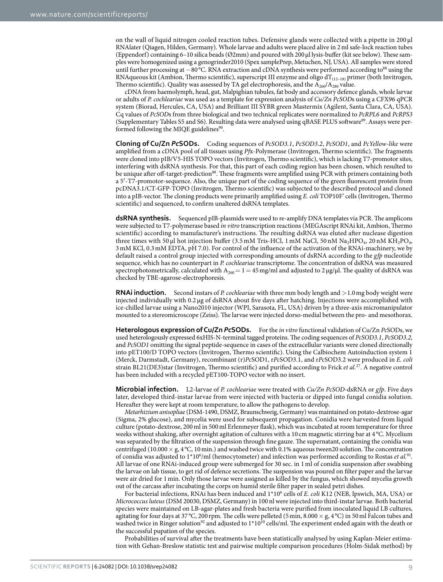on the wall of liquid nitrogen cooled reaction tubes. Defensive glands were collected with a pipette in 200 μl RNAlater (Qiagen, Hilden, Germany). Whole larvae and adults were placed alive in 2ml safe-lock reaction tubes (Eppendorf) containing 6–10 silica beads (Ø2mm) and poured with 200μl lysis-buffer (kit see below). These samples were homogenized using a genogrinder2010 (Spex samplePrep, Metuchen, NJ, USA). All samples were stored until further processing at −80 °C. RNA extraction and cDNA synthesis were performed according to<sup>[88](#page-12-12)</sup> using the RNAqueous kit (Ambion, Thermo scientific), superscript III enzyme and oligo  $dT_{(12-18)}$  primer (both Invitrogen, Thermo scientific). Quality was assessed by TA gel electrophoresis, and the  $A_{260}/A_{280}$  value.

cDNA from haemolymph, head, gut, Malpighian tubules, fat body and accessory defence glands, whole larvae or adults of *P. cochleariae* was used as a template for expression analysis of *Cu/Zn PcSOD*s using a CFX96 qPCR system (Biorad, Hercules, CA, USA) and Brilliant III SYBR green Mastermix (Agilent, Santa Clara, CA, USA). Cq values of *PcSOD*s from three biological and two technical replicates were normalized to *PcRPL6* and *PcRPS3* (Supplementary Tables S5 and S6). Resulting data were analysed using qBASE PLUS software[89](#page-12-13). Assays were performed following the MIQE guidelines<sup>90</sup>.

**Cloning of Cu/Zn** *Pc***SODs.** Coding sequences of *PcSOD3.1*, *PcSOD3.2*, *PcSOD1*, and *PcYellow-like* were amplified from a cDNA pool of all tissues using *Pf*x-Polymerase (Invitrogen, Thermo scientific). The fragments were cloned into pIB/V5-HIS TOPO vectors (Invitrogen, Thermo scientific), which is lacking T7-promotor sites, interfering with dsRNA synthesis. For that, this part of each coding region has been chosen, which resulted to be unique after off-target-prediction<sup>88</sup>. These fragments were amplified using PCR with primers containing both a 5′-T7-promotor-sequence. Also, the unique part of the coding sequence of the green fluorescent protein from pcDNA3.1/CT-GFP-TOPO (Invitrogen, Thermo scientific) was subjected to the described protocol and cloned into a pIB-vector. The cloning products were primarily amplified using *E. coli* TOP10F' cells (Invitrogen, Thermo scientific) and sequenced, to confirm unaltered dsRNA templates.

**dsRNA synthesis.** Sequenced pIB-plasmids were used to re-amplify DNA templates via PCR. The amplicons were subjected to T7-polymerase based *in vitro* transcription reactions (MEGAscript RNAi kit, Ambion, Thermo scientific) according to manufacturer's instructions. The resulting dsRNA was eluted after nuclease digestion three times with 50 µl hot injection buffer (3.5 mM Tris-HCl, 1 mM NaCl, 50 nM Na<sub>2</sub>HPO<sub>4</sub>, 20 nM KH<sub>2</sub>PO<sub>4</sub>, 3mM KCl, 0.3mM EDTA, pH 7.0). For control of the influence of the activation of the RNAi-machinery, we by default raised a control group injected with corresponding amounts of dsRNA according to the *gfp* nucleotide sequence, which has no counterpart in *P. cochleariae* transcriptome. The concentration of dsRNA was measured spectrophotometrically, calculated with  $A_{260} = 1 = 45$  mg/ml and adjusted to 2 μg/μl. The quality of dsRNA was checked by TBE-agarose-electrophoresis.

**RNAi induction.** Second instars of *P. cochleariae* with three mm body length and >1.0mg body weight were injected individually with 0.2 μg of dsRNA about five days after hatching. Injections were accomplished with ice-chilled larvae using a Nano2010 injector (WPI, Sarasota, FL, USA) driven by a three-axis micromanipulator mounted to a stereomicroscope (Zeiss). The larvae were injected dorso-medial between the pro- and mesothorax.

**Heterologous expression of Cu/Zn** *Pc***SODs.** For the *in vitro* functional validation of Cu/Zn *Pc*SODs, we used heterologously expressed 6xHIS-N-terminal tagged proteins. The coding sequences of *PcSOD3.1*, *PcSOD3.2*, and *PcSOD1* omitting the signal peptide-sequence in cases of the extracellular variants were cloned directionally into pET100/D TOPO vectors (Invitrogen, Thermo scientific). Using the Calbiochem Autoinduction system 1 (Merck, Darmstadt, Germany), recombinant (r)*Pc*SOD1, r*Pc*SOD3.1, and r*Pc*SOD3.2 were produced in *E. coli* strain BL21(DE3)star (Invitrogen, Thermo scientific) and purified according to Frick *et al.*[27.](#page-10-21) A negative control has been included with a recycled pET100-TOPO vector with no insert.

**Microbial infection.** L2-larvae of *P. cochleariae* were treated with *Cu/Zn PcSOD-*dsRNA or *gfp*. Five days later, developed third-instar larvae from were injected with bacteria or dipped into fungal conidia solution. Hereafter they were kept at room temperature, to allow the pathogens to develop.

*Metarhizium anisopliae* (DSM-1490, DSMZ, Braunschweig, Germany) was maintained on potato-dextrose-agar (Sigma, 2% glucose), and mycelia were used for subsequent propagation. Conidia were harvested from liquid culture (potato-dextrose, 200ml in 500ml Erlenmeyer flask), which was incubated at room temperature for three weeks without shaking, after overnight agitation of cultures with a 10 cm magnetic stirring bar at 4 °C. Mycelium was separated by the filtration of the suspension through fine gauze. The supernatant, containing the conidia was centrifuged (10.000  $\times$  g, 4 °C, 10 min.) and washed twice with 0.1% aqueous tween20 solution. The concentration of conidia was adjusted to 1\*10<sup>6</sup>/ml (hemocytometer) and infection was performed according to Rostas et al.<sup>91</sup>. All larvae of one RNAi-induced group were submerged for 30 sec. in 1 ml of conidia suspension after swabbing the larvae on lab tissue, to get rid of defence secretions. The suspension was poured on filter paper and the larvae were air dried for 1min. Only those larvae were assigned as killed by the fungus, which showed mycelia growth out of the carcass after incubating the corps on humid sterile filter paper in sealed petri dishes.

For bacterial infections, RNAi has been induced and 1\*10<sup>6</sup> cells of *E. coli* K12 (NEB, Ipswich, MA, USA) or *Micrococcus luteus* (DSM 20030, DSMZ, Germany) in 100nl were injected into third-instar larvae. Both bacterial species were maintained on LB-agar-plates and fresh bacteria were purified from inoculated liquid LB cultures, agitating for four days at 37 °C, 200 rpm. The cells were pelleted (5min, 8.000× g, 4 °C) in 50ml Falcon tubes and washed twice in Ringer solution<sup>[92](#page-12-16)</sup> and adjusted to  $1*10^{10}$  cells/ml. The experiment ended again with the death or the successful pupation of the species.

Probabilities of survival after the treatments have been statistically analysed by using Kaplan-Meier estimation with Gehan-Breslow statistic test and pairwise multiple comparison procedures (Holm-Sidak method) by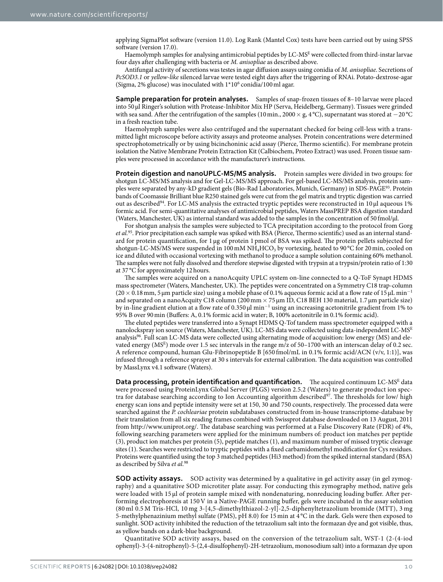applying SigmaPlot software (version 11.0). Log Rank (Mantel Cox) tests have been carried out by using SPSS software (version 17.0).

Haemolymph samples for analysing antimicrobial peptides by LC-MSE were collected from third-instar larvae four days after challenging with bacteria or *M. anisopliae* as described above.

Antifungal activity of secretions was testes in agar diffusion assays using conidia of *M. anisopliae*. Secretions of *PcSOD3.1* or *yellow-like* silenced larvae were tested eight days after the triggering of RNAi. Potato-dextrose-agar (Sigma, 2% glucose) was inoculated with  $1*10^6$  conidia/100 ml agar.

**Sample preparation for protein analyses.** Samples of snap-frozen tissues of 8–10 larvae were placed into 50μl Ringer's solution with Protease-Inhibitor Mix HP (Serva, Heidelberg, Germany). Tissues were grinded with sea sand. After the centrifugation of the samples (10 min., 2000 × g, 4 °C), supernatant was stored at −20 °C in a fresh reaction tube.

Haemolymph samples were also centrifuged and the supernatant checked for being cell-less with a transmitted light microscope before activity assays and proteome analyses. Protein concentrations were determined spectrophotometrically or by using bicinchoninic acid assay (Pierce, Thermo scientific). For membrane protein isolation the Native Membrane Protein Extraction Kit (Calbiochem, Proteo Extract) was used. Frozen tissue samples were processed in accordance with the manufacturer's instructions.

**Protein digestion and nanoUPLC-MS/MS analysis.** Protein samples were divided in two groups: for shotgun LC-MS/MS analysis and for Gel-LC-MS/MS approach. For gel-based LC-MS/MS analysis, protein samples were separated by any-kD gradient gels (Bio-Rad Laboratories, Munich, Germany) in SDS-PAG[E93](#page-12-17). Protein bands of Coomassie Brilliant blue R250 stained gels were cut from the gel matrix and tryptic digestion was carried out as described<sup>94</sup>. For LC-MS analysis the extracted tryptic peptides were reconstructed in 10  $\mu$ l aqueous 1% formic acid. For semi-quantitative analyses of antimicrobial peptides, Waters MassPREP BSA digestion standard (Waters, Manchester, UK) as internal standard was added to the samples in the concentration of 50 fmol/μl.

For shotgun analysis the samples were subjected to TCA precipitation according to the protocol from Gorg *et al.*[95.](#page-12-19) Prior precipitation each sample was spiked with BSA (Pierce, Thermo scientific) used as an internal standard for protein quantification, for 1 μg of protein 1 pmol of BSA was spiked. The protein pellets subjected for shotgun-LC-MS/MS were suspended in 100 mM NH<sub>4</sub>HCO<sub>3</sub> by vortexing, heated to 90 °C for 20 min, cooled on ice and diluted with occasional vortexing with methanol to produce a sample solution containing 60% methanol. The samples were not fully dissolved and therefore stepwise digested with trypsin at a trypsin/protein ratio of 1:30 at 37 °C for approximately 12hours.

The samples were acquired on a nanoAcquity UPLC system on-line connected to a Q-ToF Synapt HDMS mass spectrometer (Waters, Manchester, UK). The peptides were concentrated on a Symmetry C18 trap-column (20× 0.18mm, 5μm particle size) using a mobile phase of 0.1% aqueous formic acid at a flow rate of 15 μL min<sup>−</sup><sup>1</sup> and separated on a nanoAcquity C18 column (200mm× 75μm ID, C18 BEH 130 material, 1.7 μm particle size) by in-line gradient elution at a flow rate of 0.350 μl min<sup>−</sup><sup>1</sup> using an increasing acetonitrile gradient from 1% to 95% B over 90min (Buffers: A, 0.1% formic acid in water; B, 100% acetonitrile in 0.1% formic acid).

The eluted peptides were transferred into a Synapt HDMS Q-Tof tandem mass spectrometer equipped with a nanolockspray ion source (Waters, Manchester, UK). LC-MS data were collected using data-independent LC-MSE analysis<sup>[96](#page-12-20)</sup>. Full scan LC-MS data were collected using alternating mode of acquisition: low energy (MS) and elevated energy  $(MS<sup>E</sup>)$  mode over 1.5 sec intervals in the range m/z of 50–1700 with an interscan delay of 0.2 sec. A reference compound, human Glu-Fibrinopeptide B [650 fmol/mL in 0.1% formic acid/ACN (v/v, 1:1)], was infused through a reference sprayer at 30 s intervals for external calibration. The data acquisition was controlled by MassLynx v4.1 software (Waters).

**Data processing, protein identification and quantification.** The acquired continuum LC-MSE data were processed using ProteinLynx Global Server (PLGS) version 2.5.2 (Waters) to generate product ion spec-tra for database searching according to Ion Accounting algorithm described<sup>[97](#page-12-21)</sup>. The thresholds for low/ high energy scan ions and peptide intensity were set at 150, 30 and 750 counts, respectively. The processed data were searched against the *P. cochleariae* protein subdatabases constructed from in-house transcriptome-database by their translation from all six reading frames combined with Swissprot database downloaded on 13 August, 2011 from [http://www.uniprot.org/.](http://www.uniprot.org/) The database searching was performed at a False Discovery Rate (FDR) of 4%, following searching parameters were applied for the minimum numbers of: product ion matches per peptide (3), product ion matches per protein (5), peptide matches (1), and maximum number of missed tryptic cleavage sites (1). Searches were restricted to tryptic peptides with a fixed carbamidomethyl modification for Cys residues. Proteins were quantified using the top 3 matched peptides (Hi3 method) from the spiked internal standard (BSA) as described by Silva *et al.*[98](#page-12-22)

**SOD activity assays.** SOD activity was determined by a qualitative in gel activity assay (in gel zymography) and a quanitative SOD microtiter plate assay. For conducting this zymography method, native gels were loaded with 15 μl of protein sample mixed with nondenaturing, nonreducing loading buffer. After performing electrophoresis at 150 V in a Native-PAGE running buffer, gels were incubated in the assay solution (80 ml 0.5 M Tris-HCl, 10 mg 3-[4,5-dimethylthiazol-2-yl]-2,5-diphenyltetrazolium bromide (MTT), 3 mg 5-methylphenazinium methyl sulfate (PMS), pH 8.0) for 15min at 4 °C in the dark. Gels were then exposed to sunlight. SOD activity inhibited the reduction of the tetrazolium salt into the formazan dye and got visible, thus, as yellow bands on a dark-blue background.

Quantitative SOD activity assays, based on the conversion of the tetrazolium salt, WST-1 (2-(4-iod ophenyl)-3-(4-nitrophenyl)-5-(2,4-disulfophenyl)-2H-tetrazolium, monosodium salt) into a formazan dye upon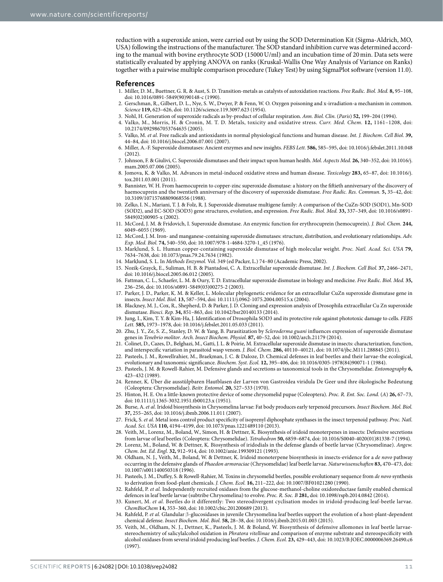reduction with a superoxide anion, were carried out by using the SOD Determination Kit (Sigma-Aldrich, MO, USA) following the instructions of the manufacturer. The SOD standard inhibition curve was determined according to the manual with bovine erythrocyte SOD (15000U/ml) and an incubation time of 20min. Data sets were statistically evaluated by applying ANOVA on ranks (Kruskal-Wallis One Way Analysis of Variance on Ranks) together with a pairwise multiple comparison procedure (Tukey Test) by using SigmaPlot software (version 11.0).

#### **References**

- <span id="page-10-0"></span>1. Miller, D. M., Buettner, G. R. & Aust, S. D. Transition-metals as catalysts of autoxidation reactions. *Free Radic. Biol. Med.* **8,** 95–108, doi: 10.1016/0891-5849(90)90148-c (1990).
- <span id="page-10-1"></span>2. Gerschman, R., Gilbert, D. L., Nye, S. W., Dwyer, P. & Fenn, W. O. Oxygen poisoning and x-irradiation-a mechanism in common. *Science* **119,** 623–626, doi: 10.1126/science.119.3097.623 (1954).
- 3. Nohl, H. Generation of superoxide radicals as by-product of cellular respiration. *Ann. Biol. Clin.* (*Paris*) **52,** 199–204 (1994).
- 4. Valko, M., Morris, H. & Cronin, M. T. D. Metals, toxicity and oxidative stress. *Curr. Med. Chem.* **12,** 1161–1208, doi: 10.2174/0929867053764635 (2005).
- <span id="page-10-2"></span>5. Valko, M. *et al.* Free radicals and antioxidants in normal physiological functions and human disease. *Int. J. Biochem. Cell Biol.* **39,** 44–84, doi: 10.1016/j.biocel.2006.07.001 (2007).
- <span id="page-10-3"></span>6. Miller, A.-F. Superoxide dismutases: Ancient enzymes and new insights. *FEBS Lett.* **586,** 585–595, doi: 10.1016/j.febslet.2011.10.048 (2012).
- <span id="page-10-4"></span>7. Johnson, F. & Giulivi, C. Superoxide dismutases and their impact upon human health. *Mol. Aspects Med.* **26,** 340–352, doi: 10.1016/j. mam. 2005.07.006 (2005).
- <span id="page-10-5"></span>8. Jomova, K. & Valko, M. Advances in metal-induced oxidative stress and human disease. *Toxicology* **283,** 65–87, doi: 10.1016/j. tox.2011.03.001 (2011).
- <span id="page-10-6"></span>9. Bannister, W. H. From haemocuprein to copper-zinc superoxide dismutase: a history on the fiftieth anniversary of the discovery of haemocuprein and the twentieth anniversary of the discovery of superoxide dismutase. *Free Radic. Res. Commun.* **5,** 35–42, doi: 10.3109/10715768809068556 (1988).
- <span id="page-10-7"></span>10. Zelko, I. N., Mariani, T. J. & Folz, R. J. Superoxide dismutase multigene family: A comparison of the CuZn-SOD (SOD1), Mn-SOD (SOD2), and EC-SOD (SOD3) gene structures, evolution, and expression. *Free Radic. Biol. Med.* **33,** 337–349, doi: 10.1016/s0891- 5849(02)00905-x (2002).
- <span id="page-10-8"></span>11. McCord, J. M. & Fridovich, I. Superoxide dismutase. An enzymic function for erythrocuprein (hemocuprein). *J. Biol. Chem.* **244,** 6049–6055 (1969).
- <span id="page-10-9"></span>12. McCord, J. M. Iron- and manganese-containing superoxide dismutases: structure, distribution, and evolutionary relationships. *Adv. Exp. Med. Biol.* **74,** 540–550, doi: 10.1007/978-1-4684-3270-1\_45 (1976).
- <span id="page-10-10"></span>13. Marklund, S. L. Human copper-containing superoxide dismutase of high molecular weight. *Proc. Natl. Acad. Sci. USA* **79,** 7634–7638, doi: 10.1073/pnas.79.24.7634 (1982).
- 14. Marklund, S. L. In *Methods Enzymol.* Vol. 349 (ed Packer, L.) 74–80 (Academic Press, 2002).
- 15. Nozik-Grayck, E., Suliman, H. B. & Piantadosi, C. A. Extracellular superoxide dismutase. *Int. J. Biochem. Cell Biol.* **37,** 2466–2471, doi: 10.1016/j.biocel.2005.06.012 (2005).
- 16. Fattman, C. L., Schaefer, L. M. & Oury, T. D. Extracellular superoxide dismutase in biology and medicine. *Free Radic. Biol. Med.* **35,** 236–256, doi: 10.1016/s0891-5849(03)00275-2 (2003).
- <span id="page-10-11"></span>17. Parker, J. D., Parker, K. M. & Keller, L. Molecular phylogenetic evidence for an extracellular CuZn superoxide dismutase gene in insects. *Insect Mol. Biol.* **13,** 587–594, doi: 10.1111/j.0962-1075.2004.00515.x (2004).
- <span id="page-10-12"></span>18. Blackney, M. J., Cox, R., Shepherd, D. & Parker, J. D. Cloning and expression analysis of Drosophila extracellular Cu Zn superoxide dismutase. *Biosci. Rep.* **34,** 851–863, doi: 10.1042/bsr20140133 (2014).
- <span id="page-10-13"></span>19. Jung, I., Kim, T. Y. & Kim-Ha, J. Identification of Drosophila SOD3 and its protective role against phototoxic damage to cells. *FEBS Lett.* **585,** 1973–1978, doi: 10.1016/j.febslet.2011.05.033 (2011).
- <span id="page-10-14"></span>20. Zhu, J. Y., Ze, S. Z., Stanley, D. W. & Yang, B. Parasitization by *Scleroderma guani* influences expression of superoxide dismutase genes in *Tenebrio molitor*. *Arch. Insect Biochem. Physiol.* **87,** 40–52, doi: 10.1002/arch.21179 (2014).
- <span id="page-10-15"></span>21. Colinet, D., Cazes, D., Belghazi, M., Gatti, J. L. & Poirie, M. Extracellular superoxide dismutase in insects: characterization, function, and interspecific variation in parasitoid wasp venom. *J. Biol. Chem.* **286,** 40110–40121, doi: 10.1074/jbc.M111.288845 (2011).
- <span id="page-10-16"></span>22. Pasteels, J. M., Rowellrahier, M., Braekman, J. C. & Daloze, D. Chemical defenses in leaf beetles and their larvae-the ecological, evolutionary and taxonomic significance. *Biochem. Syst. Ecol.* **12,** 395–406, doi: 10.1016/0305-1978(84)90071-1 (1984).
- 23. Pasteels, J. M. & Rowell-Rahier, M. Defensive glands and secretions as taxonomical tools in the Chrysomelidae. *Entomography* **6,** 423–432 (1989).
- 24. Renner, K. Über die ausstülpbaren Hautblasen der Larven von Gastroidea viridula De Geer und ihre ökologische Bedeutung (Coleoptera: Chrysomelidae). *Beitr. Entomol*. **20,** 527–533 (1970).
- 25. Hinton, H. E. On a little-known protective device of some chrysomelid pupae (Coleoptera). *Proc. R. Ent. Soc. Lond.* (*A*) **26,** 67–73, doi: 10.1111/j.1365-3032.1951.tb00123.x (1951).
- <span id="page-10-17"></span>26. Burse, A. *et al.* Iridoid biosynthesis in Chrysomelina larvae: Fat body produces early terpenoid precursors. *Insect Biochem. Mol. Biol.* **37,** 255–265, doi: 10.1016/j.ibmb.2006.11.011 (2007).
- <span id="page-10-21"></span>27. Frick, S. *et al.* Metal ions control product specificity of isoprenyl diphosphate synthases in the insect terpenoid pathway. *Proc. Natl. Acad. Sci. USA* **110,** 4194–4199, doi: 10.1073/pnas.1221489110 (2013).
- 28. Veith, M., Lorenz, M., Boland, W., Simon, H. & Dettner, K. Biosynthesis of iridoid monoterpenes in insects: Defensive secretions from larvae of leaf beetles (Coleoptera: Chrysomelidae). *Tetrahedron* **50,** 6859–6874, doi: 10.1016/S0040-4020(01)81338-7 (1994).
- <span id="page-10-18"></span>29. Lorenz, M., Boland, W. & Dettner, K. Biosynthesis of iridodials in the defense glands of beetle larvae (Chrysomelinae). *Angew. Chem. Int. Ed. Engl.* **32,** 912–914, doi: 10.1002/anie.199309121 (1993).
- 30. Oldham, N. J., Veith, M., Boland, W. & Dettner, K. Iridoid monoterpene biosynthesis in insects-evidence for a *de novo* pathway occurring in the defensive glands of *Phaedon armoraciae* (Chrysomelidae) leaf beetle larvae. *Naturwissenschaften* **83,** 470–473, doi: 10.1007/s001140050318 (1996).
- 31. Pasteels, J. M., Duffey, S. & Rowell-Rahier, M. Toxins in chrysomelid beetles, possible evolutionary sequence from *de novo* synthesis to derivation from food-plant chemicals. *J. Chem. Ecol.* **16,** 211–222, doi: 10.1007/BF01021280 (1990).
- <span id="page-10-19"></span>32. Rahfeld, P. *et al.* Independently recruited oxidases from the glucose-methanol-choline oxidoreductase family enabled chemical defences in leaf beetle larvae (subtribe Chrysomelina) to evolve. *Proc. R. Soc. B* **281,** doi: 10.1098/rspb.2014.0842 (2014).
- 33. Kunert, M. *et al.* Beetles do it differently: Two stereodivergent cyclisation modes in iridoid-producing leaf-beetle larvae. *ChemBioChem* **14,** 353–360, doi: 10.1002/cbic.201200689 (2013).
- <span id="page-10-20"></span>34. Rahfeld, P. *et al.* Glandular β-glucosidases in juvenile Chrysomelina leaf beetles support the evolution of a host-plant-dependent chemical defense. *Insect Biochem. Mol. Biol.* **58,** 28–38, doi: 10.1016/j.ibmb.2015.01.003 (2015).
- 35. Veith, M., Oldham, N. J., Dettner, K., Pasteels, J. M. & Boland, W. Biosynthesis of defensive allomones in leaf beetle larvaestereochemistry of salicylalcohol oxidation in *Phratora vitellinae* and comparison of enzyme substrate and stereospecificity with alcohol oxidases from several iridoid producing leaf beetles. *J. Chem. Ecol.* **23,** 429–443, doi: 10.1023/B:JOEC.0000006369.26490.c6 (1997).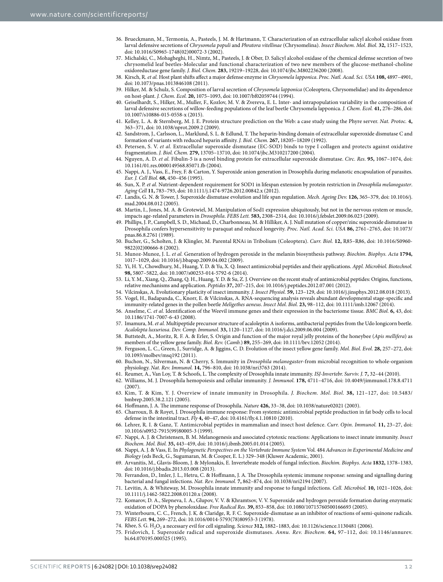- <span id="page-11-0"></span>36. Brueckmann, M., Termonia, A., Pasteels, J. M. & Hartmann, T. Characterization of an extracellular salicyl alcohol oxidase from larval defensive secretions of *Chrysomela populi* and *Phratora vitellinae* (Chrysomelina). *Insect Biochem. Mol. Biol.* **32,** 1517–1523, doi: 10.1016/S0965-1748(02)00072-3 (2002).
- 37. Michalski, C., Mohagheghi, H., Nimtz, M., Pasteels, J. & Ober, D. Salicyl alcohol oxidase of the chemical defense secretion of two chrysomelid leaf beetles-Molecular and functional characterization of two new members of the glucose-methanol-choline oxidoreductase gene family. *J. Biol. Chem.* **283,** 19219–19228, doi: 10.1074/jbc.M802236200 (2008).
- <span id="page-11-1"></span>38. Kirsch, R. *et al.* Host plant shifts affect a major defense enzyme in *Chrysomela lapponica*. *Proc. Natl. Acad. Sci. USA* **108,** 4897–4901, doi: 10.1073/pnas.1013846108 (2011).
- 39. Hilker, M. & Schulz, S. Composition of larval secretion of *Chrysomela lapponica* (Coleoptera, Chrysomelidae) and its dependence on host-plant. *J. Chem. Ecol.* **20,** 1075–1093, doi: 10.1007/bf02059744 (1994).
- 40. Geiselhardt, S., Hilker, M., Muller, F., Kozlov, M. V. & Zvereva, E. L. Inter- and intrapopulation variability in the composition of larval defensive secretions of willow-feeding populations of the leaf beetle Chrysomela lapponica. *J. Chem. Ecol.* **41,** 276–286, doi: 10.1007/s10886-015-0558-x (2015).
- <span id="page-11-2"></span>41. Kelley, L. A. & Sternberg, M. J. E. Protein structure prediction on the Web: a case study using the Phyre server. *Nat. Protoc.* **4,** 363–371, doi: 10.1038/nprot.2009.2 (2009).
- <span id="page-11-3"></span>42. Sandstrom, J., Carlsson, L., Marklund, S. L. & Edlund, T. The heparin-binding domain of extracellular superoxide dismutase C and formation of variants with reduced heparin affinity. *J. Biol. Chem.* **267,** 18205–18209 (1992).
- 43. Petersen, S. V. *et al.* Extracellular superoxide dismutase (EC-SOD) binds to type I collagen and protects against oxidative fragmentation. *J. Biol. Chem.* **279,** 13705–13710, doi: 10.1074/jbc.M310217200 (2004).
- 44. Nguyen, A. D. *et al.* Fibulin-5 is a novel binding protein for extracellular superoxide dismutase. *Circ. Res.* **95,** 1067–1074, doi: 10.1161/01.res.0000149568.85071.fb (2004).
- <span id="page-11-4"></span>45. Nappi, A. J., Vass, E., Frey, F. & Carton, Y. Superoxide anion generation in Drosophila during melanotic encapsulation of parasites. *Eur. J. Cell Biol.* **68,** 450–456 (1995).
- 46. Sun, X. P. *et al.* Nutrient-dependent requirement for SOD1 in lifespan extension by protein restriction in *Drosophila melanogaster*. *Aging Cell* **11,** 783–793, doi: 10.1111/j.1474-9726.2012.00842.x (2012).
- 47. Landis, G. N. & Tower, J. Superoxide dismutase evolution and life span regulation. *Mech. Ageing Dev.* **126,** 365–379, doi: 10.1016/j. mad.2004.08.012 (2005).
- 48. Martin, I., Jones, M. A. & Grotewiel, M. Manipulation of Sod1 expression ubiquitously, but not in the nervous system or muscle, impacts age-related parameters in *Drosophila*. *FEBS Lett.* **583,** 2308–2314, doi: 10.1016/j.febslet.2009.06.023 (2009).
- <span id="page-11-6"></span>49. Phillips, J. P., Campbell, S. D., Michaud, D., Charbonneau, M. & Hilliker, A. J. Null mutation of copper/zinc superoxide dismutase in Drosophila confers hypersensitivity to paraquat and reduced longevity. *Proc. Natl. Acad. Sci. USA* **86,** 2761–2765, doi: 10.1073/ pnas.86.8.2761 (1989).
- <span id="page-11-5"></span>50. Bucher, G., Scholten, J. & Klingler, M. Parental RNAi in Tribolium (Coleoptera). *Curr. Biol.* **12,** R85–R86, doi: 10.1016/S0960- 9822(02)00666-8 (2002).
- <span id="page-11-7"></span>51. Munoz-Munoz, J. L. *et al.* Generation of hydrogen peroxide in the melanin biosynthesis pathway. *Biochim. Biophys. Acta* **1794,** 1017–1029, doi: 10.1016/j.bbapap.2009.04.002 (2009).
- <span id="page-11-8"></span>52. Yi, H. Y., Chowdhury, M., Huang, Y. D. & Yu, X. Q. Insect antimicrobial peptides and their applications. *Appl. Microbiol. Biotechnol.* **98,** 5807–5822, doi: 10.1007/s00253-014-5792-6 (2014).
- 53. Li, Y. M., Xiang, Q., Zhang, Q. H., Huang, Y. D. & Su, Z. J. Overview on the recent study of antimicrobial peptides: Origins, functions, relative mechanisms and application. *Peptides* **37,** 207–215, doi: 10.1016/j.peptides.2012.07.001 (2012).
- <span id="page-11-14"></span>54. Vilcinskas, A. Evolutionary plasticity of insect immunity. *J. Insect Physiol.* **59,** 123–129, doi: 10.1016/j.jinsphys.2012.08.018 (2013).
- 55. Vogel, H., Badapanda, C., Knorr, E. & Vilcinskas, A. RNA-sequencing analysis reveals abundant developmental stage-specific and immunity-related genes in the pollen beetle *Meligethes aeneus*. *Insect Mol. Biol.* **23,** 98–112, doi: 10.1111/imb.12067 (2014).
- <span id="page-11-9"></span>56. Anselme, C. *et al.* Identification of the Weevil immune genes and their expression in the bacteriome tissue. *BMC Biol.* **6,** 43, doi: 10.1186/1741-7007-6-43 (2008).
- <span id="page-11-10"></span>57. Imamura, M. *et al.* Multipeptide precursor structure of acaloleptin A isoforms, antibacterial peptides from the Udo longicorn beetle. *Acalolepta luxuriosa*. *Dev. Comp. Immunol.* **33,** 1120–1127, doi: 10.1016/j.dci.2009.06.004 (2009).
- <span id="page-11-11"></span>58. Buttstedt, A., Moritz, R. F. A. & Erler, S. Origin and function of the major royal jelly proteins of the honeybee (*Apis mellifera*) as members of the yellow gene family. *Biol. Rev.* (*Camb.*) **89,** 255–269, doi: 10.1111/brv.12052 (2014).
- <span id="page-11-12"></span>59. Ferguson, L. C., Green, J., Surridge, A. & Jiggins, C. D. Evolution of the insect yellow gene family. *Mol. Biol. Evol.* **28,** 257–272, doi: 10.1093/molbev/msq192 (2011).
- <span id="page-11-13"></span>60. Buchon, N., Silverman, N. & Cherry, S. Immunity in *Drosophila melanogaster*-from microbial recognition to whole-organism physiology. *Nat. Rev. Immunol.* **14,** 796–810, doi: 10.1038/nri3763 (2014).
- 61. Reumer, A., Van Loy, T. & Schoofs, L. The complexity of Drosophila innate immunity. *ISJ-Invertebr. Surviv. J.* **7,** 32–44 (2010).
- 62. Williams, M. J. Drosophila hemopoiesis and cellular immunity. *J. Immunol.* **178,** 4711–4716, doi: 10.4049/jimmunol.178.8.4711  $(2007)$
- <span id="page-11-19"></span>63. Kim, T. & Kim, Y. J. Overview of innate immunity in Drosophila. *J. Biochem. Mol. Biol.* **38,** 121–127, doi: 10.5483/ bmbrep.2005.38.2.121 (2005).
- 64. Hoffmann, J. A. The immune response of Drosophila. *Nature* **426,** 33–38, doi: 10.1038/nature02021 (2003).
- <span id="page-11-15"></span>65. Charroux, B. & Royet, J. Drosophila immune response: From systemic antimicrobial peptide production in fat body cells to local defense in the intestinal tract. *Fly* **4,** 40–47, doi: 10.4161/fly.4.1.10810 (2010).
- <span id="page-11-16"></span>66. Lehrer, R. I. & Ganz, T. Antimicrobial peptides in mammalian and insect host defence. *Curr. Opin. Immunol.* **11,** 23–27, doi: 10.1016/s0952-7915(99)80005-3 (1999).
- <span id="page-11-17"></span>67. Nappi, A. J. & Christensen, B. M. Melanogenesis and associated cytotoxic reactions: Applications to insect innate immunity. *Insect Biochem. Mol. Biol.* **35,** 443–459, doi: 10.1016/j.ibmb.2005.01.014 (2005).
- <span id="page-11-18"></span>68. Nappi, A. J. & Vass, E. In *Phylogenetic Perspectives on the Vertebrate Immune System* Vol. 484 *Advances in Experimental Medicine and Biology* (eds Beck, G., Sugumaran, M. & Cooper, E. L.) 329–348 (Kluwer Academic, 2001).
- <span id="page-11-20"></span>69. Arvanitis, M., Glavis-Bloom, J. & Mylonakis, E. Invertebrate models of fungal infection. *Biochim. Biophys. Acta* **1832,** 1378–1383, doi: 10.1016/j.bbadis.2013.03.008 (2013).
- 70. Ferrandon, D., Imler, J. L., Hetru, C. & Hoffmann, J. A. The Drosophila systemic immune response: sensing and signalling during bacterial and fungal infections. *Nat. Rev. Immunol.* **7,** 862–874, doi: 10.1038/nri2194 (2007).
- 71. Levitin, A. & Whiteway, M. Drosophila innate immunity and response to fungal infections. *Cell. Microbiol.* **10,** 1021–1026, doi: 10.1111/j.1462-5822.2008.01120.x (2008).
- <span id="page-11-21"></span>72. Komarov, D. A., Slepneva, I. A., Glupov, V. V. & Khramtsov, V. V. Superoxide and hydrogen peroxide formation during enzymatic oxidation of DOPA by phenoloxidase. *Free Radical Res.* **39,** 853–858, doi: 10.1080/10715760500166693 (2005).
- <span id="page-11-22"></span>73. Winterbourn, C. C., French, J. K. & Claridge, R. F. C. Superoxide-dismutase as an inhibitor of reactions of semi-quinone radicals. *FEBS Lett.* **94,** 269–272, doi: 10.1016/0014-5793(78)80953-3 (1978).
- <span id="page-11-24"></span><span id="page-11-23"></span>74. Rhee, S. G. H2O2 a necessary evil for cell signaling. *Science* **312,** 1882–1883, doi: 10.1126/science.1130481 (2006).
- 75. Fridovich, I. Superoxide radical and superoxide dismutases. *Annu. Rev. Biochem.* **64,** 97–112, doi: 10.1146/annurev. bi.64.070195.000525 (1995).